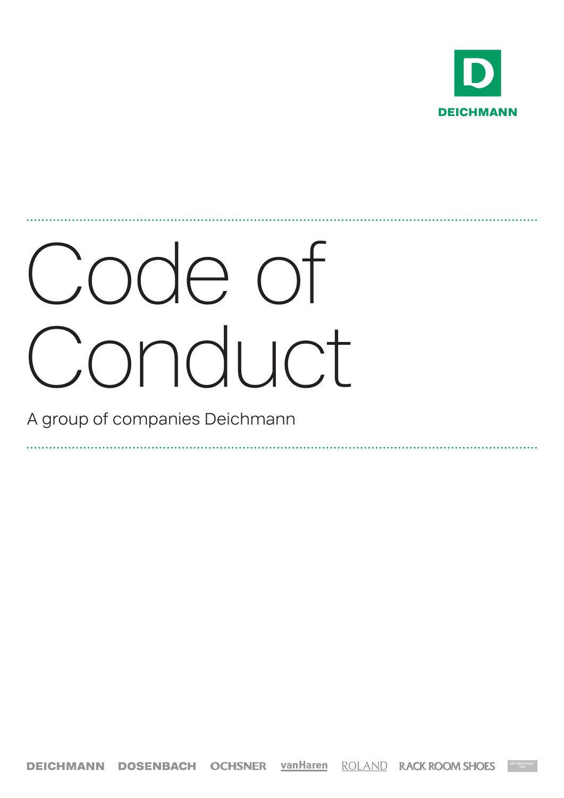

# Code of Conduct

A group of companies Deichmann

**DEICHMANN DOSENBACH OCHSNER vanHaren ROLAND RACK ROOM SHOES**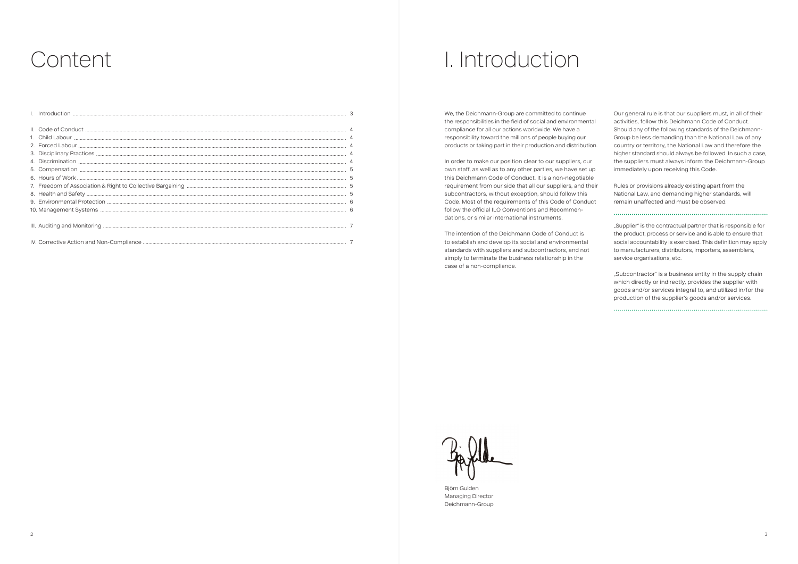| 5<br>5 Compensation<br>5 Compensation<br>5 Compensation<br>5 Compensation<br>5 Compensation<br>5 Compensation<br>5 Compensation<br>5 Compensation<br>5 Compensation<br>5 Compensation<br>5 Compensation<br>5 Compensation<br>5 Compensation<br>5 Compensat |  |
|------------------------------------------------------------------------------------------------------------------------------------------------------------------------------------------------------------------------------------------------------------|--|
|                                                                                                                                                                                                                                                            |  |
|                                                                                                                                                                                                                                                            |  |
|                                                                                                                                                                                                                                                            |  |
|                                                                                                                                                                                                                                                            |  |
|                                                                                                                                                                                                                                                            |  |
|                                                                                                                                                                                                                                                            |  |
|                                                                                                                                                                                                                                                            |  |

## Content Content Content Content Content Content Content Content Content Content Content Content Content Conte

We, the Deichmann-Group are committed to continue the responsibilities in the field of social and environmental compliance for all our actions worldwide. We have a responsibility toward the millions of people buying our products or taking part in their production and distribution.

In order to make our position clear to our suppliers, our own staff, as well as to any other parties, we have set up this Deichmann Code of Conduct. It is a non-negotiable requirement from our side that all our suppliers, and their subcontractors, without exception, should follow this Code. Most of the requirements of this Code of Conduct follow the official ILO Conventions and Recommendations, or similar international instruments.

The intention of the Deichmann Code of Conduct is to establish and develop its social and environmental standards with suppliers and subcontractors, and not simply to terminate the business relationship in the case of a non-compliance.

Our general rule is that our suppliers must, in all of their activities, follow this Deichmann Code of Conduct. Should any of the following standards of the Deichmann-Group be less demanding than the National Law of any country or territory, the National Law and therefore the higher standard should always be followed. In such a case, the suppliers must always inform the Deichmann-Group immediately upon receiving this Code.

Rules or provisions already existing apart from the National Law, and demanding higher standards, will remain unaffected and must be observed.

"Supplier" is the contractual partner that is responsible for the product, process or service and is able to ensure that social accountability is exercised. This definition may apply to manufacturers, distributors, importers, assemblers, service organisations, etc.

"Subcontractor" is a business entity in the supply chain which directly or indirectly, provides the supplier with goods and/or services integral to, and utilized in/for the production of the supplier's goods and/or services.

Björn Gulden Managing Director Deichmann-Group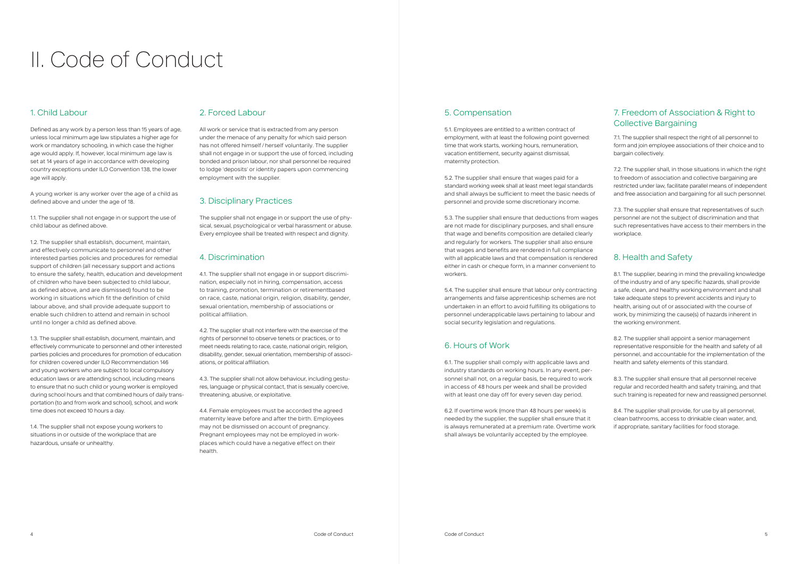#### 1. Child Labour

Defined as any work by a person less than 15 years of age, unless local minimum age law stipulates a higher age for work or mandatory schooling, in which case the higher age would apply. If, however, local minimum age law is set at 14 years of age in accordance with developing country exceptions under ILO Convention 138, the lower age will apply.

A young worker is any worker over the age of a child as defined above and under the age of 18.

1.1. The supplier shall not engage in or support the use of child labour as defined above.

1.2. The supplier shall establish, document, maintain, and effectively communicate to personnel and other interested parties policies and procedures for remedial support of children (all necessary support and actions to ensure the safety, health, education and development of children who have been subjected to child labour, as defined above, and are dismissed) found to be working in situations which fit the definition of child labour above, and shall provide adequate support to enable such children to attend and remain in school until no longer a child as defined above.

1.3. The supplier shall establish, document, maintain, and effectively communicate to personnel and other interested parties policies and procedures for promotion of education for children covered under ILO Recommendation 146 and young workers who are subject to local compulsory education laws or are attending school, including means to ensure that no such child or young worker is employed during school hours and that combined hours of daily transportation (to and from work and school), school, and work time does not exceed 10 hours a day.

1.4. The supplier shall not expose young workers to situations in or outside of the workplace that are hazardous, unsafe or unhealthy.

#### 2. Forced Labour

All work or service that is extracted from any person under the menace of any penalty for which said person has not offered himself /herself voluntarily. The supplier shall not engage in or support the use of forced, including bonded and prison labour, nor shall personnel be required to lodge 'deposits' or identity papers upon commencing employment with the supplier.

#### 3. Disciplinary Practices

The supplier shall not engage in or support the use of physical, sexual, psychological or verbal harassment or abuse. Every employee shall be treated with respect and dignity.

#### 4. Discrimination

4.1. The supplier shall not engage in or support discrimination, especially not in hiring, compensation, access to training, promotion, termination or retirementbased on race, caste, national origin, religion, disability, gender, sexual orientation, membership of associations or political affiliation.

4.2. The supplier shall not interfere with the exercise of the rights of personnel to observe tenets or practices, or to meet needs relating to race, caste, national origin, religion, disability, gender, sexual orientation, membership of associations, or political affiliation.

4.3. The supplier shall not allow behaviour, including gestures, language or physical contact, that is sexually coercive, threatening, abusive, or exploitative.

4.4. Female employees must be accorded the agreed maternity leave before and after the birth. Employees may not be dismissed on account of pregnancy. Pregnant employees may not be employed in workplaces which could have a negative effect on their health.

## II. Code of Conduct

#### 5. Compensation

5.1. Employees are entitled to a written contract of employment, with at least the following point governed: time that work starts, working hours, remuneration, vacation entitlement, security against dismissal, maternity protection.

5.2. The supplier shall ensure that wages paid for a standard working week shall at least meet legal standards and shall always be sufficient to meet the basic needs of personnel and provide some discretionary income.

5.3. The supplier shall ensure that deductions from wages are not made for disciplinary purposes, and shall ensure that wage and benefits composition are detailed clearly and regularly for workers. The supplier shall also ensure that wages and benefits are rendered in full compliance with all applicable laws and that compensation is rendered either in cash or cheque form, in a manner convenient to workers.

5.4. The supplier shall ensure that labour only contracting arrangements and false apprenticeship schemes are not undertaken in an effort to avoid fulfilling its obligations to personnel underapplicable laws pertaining to labour and social security legislation and regulations.

#### 6. Hours of Work

6.1. The supplier shall comply with applicable laws and industry standards on working hours. In any event, personnel shall not, on a regular basis, be required to work in access of 48 hours per week and shall be provided with at least one day off for every seven day period.

6.2. If overtime work (more than 48 hours per week) is needed by the supplier, the supplier shall ensure that it is always remunerated at a premium rate. Overtime work shall always be voluntarily accepted by the employee.

#### 7. Freedom of Association & Right to Collective Bargaining

7.1. The supplier shall respect the right of all personnel to form and join employee associations of their choice and to bargain collectively.

7.2. The supplier shall, in those situations in which the right to freedom of association and collective bargaining are restricted under law, facilitate parallel means of independent and free association and bargaining for all such personnel.

7.3. The supplier shall ensure that representatives of such personnel are not the subject of discrimination and that such representatives have access to their members in the workplace.

### 8. Health and Safety

8.1. The supplier, bearing in mind the prevailing knowledge of the industry and of any specific hazards, shall provide a safe, clean, and healthy working environment and shall take adequate steps to prevent accidents and injury to health, arising out of or associated with the course of work, by minimizing the cause(s) of hazards inherent in the working environment.

8.2. The supplier shall appoint a senior management representative responsible for the health and safety of all personnel, and accountable for the implementation of the health and safety elements of this standard.

8.3. The supplier shall ensure that all personnel receive regular and recorded health and safety training, and that such training is repeated for new and reassigned personnel.

8.4. The supplier shall provide, for use by all personnel, clean bathrooms, access to drinkable clean water, and, if appropriate, sanitary facilities for food storage.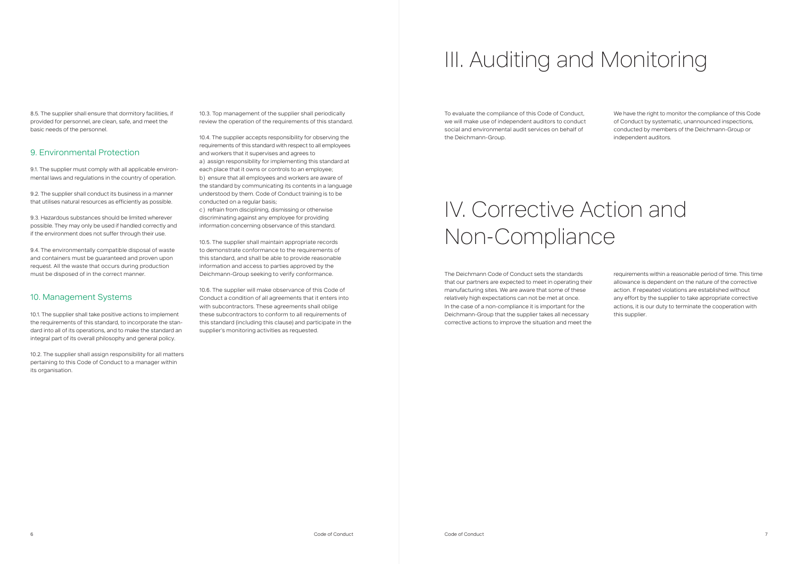8.5. The supplier shall ensure that dormitory facilities, if provided for personnel, are clean, safe, and meet the basic needs of the personnel.

#### 9. Environmental Protection

9.1. The supplier must comply with all applicable environmental laws and regulations in the country of operation.

9.2. The supplier shall conduct its business in a manner that utilises natural resources as efficiently as possible.

9.3. Hazardous substances should be limited wherever possible. They may only be used if handled correctly and if the environment does not suffer through their use.

9.4. The environmentally compatible disposal of waste and containers must be guaranteed and proven upon request. All the waste that occurs during production must be disposed of in the correct manner.

#### 10. Management Systems

10.1. The supplier shall take positive actions to implement the requirements of this standard, to incorporate the standard into all of its operations, and to make the standard an integral part of its overall philosophy and general policy.

10.2. The supplier shall assign responsibility for all matters pertaining to this Code of Conduct to a manager within its organisation.

10.3. Top management of the supplier shall periodically review the operation of the requirements of this standard.

10.4. The supplier accepts responsibility for observing the requirements of this standard with respect to all employees and workers that it supervises and agrees to a) assign responsibility for implementing this standard at each place that it owns or controls to an employee; b) ensure that all employees and workers are aware of the standard by communicating its contents in a language understood by them. Code of Conduct training is to be conducted on a regular basis;

c) refrain from disciplining, dismissing or otherwise discriminating against any employee for providing information concerning observance of this standard.

10.5. The supplier shall maintain appropriate records to demonstrate conformance to the requirements of this standard, and shall be able to provide reasonable information and access to parties approved by the Deichmann-Group seeking to verify conformance.

10.6. The supplier will make observance of this Code of Conduct a condition of all agreements that it enters into with subcontractors. These agreements shall oblige these subcontractors to conform to all requirements of this standard (including this clause) and participate in the supplier's monitoring activities as requested.

## III. Auditing and Monitoring

## IV. Corrective Action and Non-Compliance

To evaluate the compliance of this Code of Conduct, we will make use of independent auditors to conduct social and environmental audit services on behalf of the Deichmann-Group.

We have the right to monitor the compliance of this Code of Conduct by systematic, unannounced inspections, conducted by members of the Deichmann-Group or independent auditors.

The Deichmann Code of Conduct sets the standards that our partners are expected to meet in operating their manufacturing sites. We are aware that some of these relatively high expectations can not be met at once. In the case of a non-compliance it is important for the Deichmann-Group that the supplier takes all necessary corrective actions to improve the situation and meet the requirements within a reasonable period of time. This time allowance is dependent on the nature of the corrective action. If repeated violations are established without any effort by the supplier to take appropriate corrective actions, it is our duty to terminate the cooperation with this supplier.